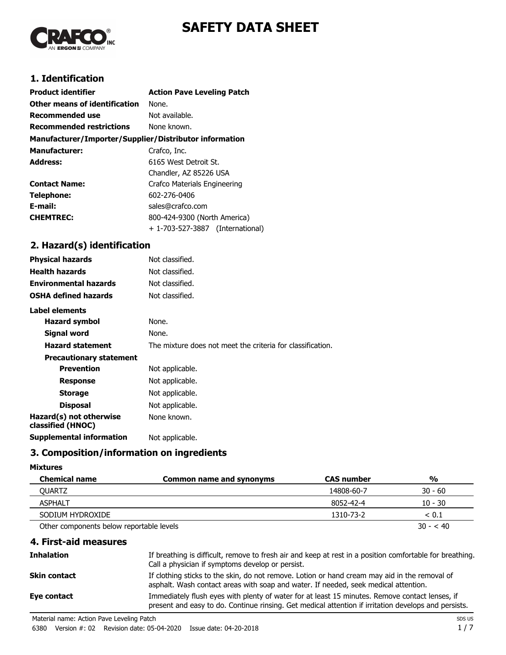

# **SAFETY DATA SHEET**

### **1. Identification**

| <b>Product identifier</b>                              | <b>Action Pave Leveling Patch</b> |
|--------------------------------------------------------|-----------------------------------|
| Other means of identification                          | None.                             |
| <b>Recommended use</b>                                 | Not available.                    |
| <b>Recommended restrictions</b>                        | None known.                       |
| Manufacturer/Importer/Supplier/Distributor information |                                   |
| <b>Manufacturer:</b>                                   | Crafco, Inc.                      |
| <b>Address:</b>                                        | 6165 West Detroit St.             |
|                                                        | Chandler, AZ 85226 USA            |
| <b>Contact Name:</b>                                   | Crafco Materials Engineering      |
| Telephone:                                             | 602-276-0406                      |
| E-mail:                                                | sales@crafco.com                  |
| <b>CHEMTREC:</b>                                       | 800-424-9300 (North America)      |
|                                                        | + 1-703-527-3887 (International)  |

## **2. Hazard(s) identification**

| <b>Physical hazards</b>                      | Not classified.                                            |
|----------------------------------------------|------------------------------------------------------------|
| <b>Health hazards</b>                        | Not classified.                                            |
| <b>Environmental hazards</b>                 | Not classified.                                            |
| <b>OSHA defined hazards</b>                  | Not classified.                                            |
| <b>Label elements</b>                        |                                                            |
| Hazard symbol                                | None.                                                      |
| Signal word                                  | None.                                                      |
| <b>Hazard statement</b>                      | The mixture does not meet the criteria for classification. |
| <b>Precautionary statement</b>               |                                                            |
| <b>Prevention</b>                            | Not applicable.                                            |
| <b>Response</b>                              | Not applicable.                                            |
| <b>Storage</b>                               | Not applicable.                                            |
| <b>Disposal</b>                              | Not applicable.                                            |
| Hazard(s) not otherwise<br>classified (HNOC) | None known.                                                |
| <b>Supplemental information</b>              | Not applicable.                                            |
|                                              |                                                            |

# **3. Composition/information on ingredients**

#### **Mixtures**

| <b>Chemical name</b>                     | <b>Common name and synonyms</b> | <b>CAS number</b> | %          |
|------------------------------------------|---------------------------------|-------------------|------------|
| OUARTZ                                   |                                 | 14808-60-7        | $30 - 60$  |
| <b>ASPHALT</b>                           |                                 | 8052-42-4         | $10 - 30$  |
| SODIUM HYDROXIDE                         |                                 | 1310-73-2         | < 0.1      |
| Other components below reportable levels |                                 |                   | $30 - 540$ |

#### **4. First-aid measures**

| Inhalation   | If breathing is difficult, remove to fresh air and keep at rest in a position comfortable for breathing.<br>Call a physician if symptoms develop or persist.                                           |
|--------------|--------------------------------------------------------------------------------------------------------------------------------------------------------------------------------------------------------|
| Skin contact | If clothing sticks to the skin, do not remove. Lotion or hand cream may aid in the removal of<br>asphalt. Wash contact areas with soap and water. If needed, seek medical attention.                   |
| Eye contact  | Immediately flush eyes with plenty of water for at least 15 minutes. Remove contact lenses, if<br>present and easy to do. Continue rinsing. Get medical attention if irritation develops and persists. |

Material name: Action Pave Leveling Patch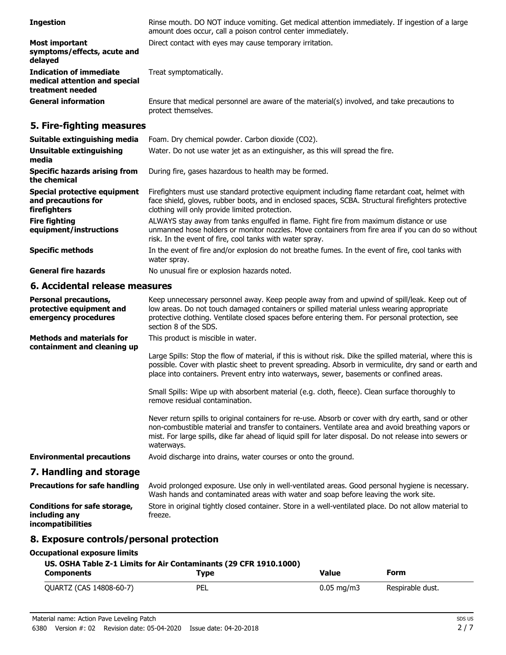| <b>Ingestion</b>                                                                    | Rinse mouth. DO NOT induce vomiting. Get medical attention immediately. If ingestion of a large<br>amount does occur, call a poison control center immediately.                                                                                                                                                                     |
|-------------------------------------------------------------------------------------|-------------------------------------------------------------------------------------------------------------------------------------------------------------------------------------------------------------------------------------------------------------------------------------------------------------------------------------|
| <b>Most important</b><br>symptoms/effects, acute and<br>delayed                     | Direct contact with eyes may cause temporary irritation.                                                                                                                                                                                                                                                                            |
| <b>Indication of immediate</b><br>medical attention and special<br>treatment needed | Treat symptomatically.                                                                                                                                                                                                                                                                                                              |
| <b>General information</b>                                                          | Ensure that medical personnel are aware of the material(s) involved, and take precautions to<br>protect themselves.                                                                                                                                                                                                                 |
| 5. Fire-fighting measures                                                           |                                                                                                                                                                                                                                                                                                                                     |
| Suitable extinguishing media                                                        | Foam. Dry chemical powder. Carbon dioxide (CO2).                                                                                                                                                                                                                                                                                    |
| <b>Unsuitable extinguishing</b><br>media                                            | Water. Do not use water jet as an extinguisher, as this will spread the fire.                                                                                                                                                                                                                                                       |
| <b>Specific hazards arising from</b><br>the chemical                                | During fire, gases hazardous to health may be formed.                                                                                                                                                                                                                                                                               |
| <b>Special protective equipment</b><br>and precautions for<br>firefighters          | Firefighters must use standard protective equipment including flame retardant coat, helmet with<br>face shield, gloves, rubber boots, and in enclosed spaces, SCBA. Structural firefighters protective<br>clothing will only provide limited protection.                                                                            |
| <b>Fire fighting</b><br>equipment/instructions                                      | ALWAYS stay away from tanks engulfed in flame. Fight fire from maximum distance or use<br>unmanned hose holders or monitor nozzles. Move containers from fire area if you can do so without<br>risk. In the event of fire, cool tanks with water spray.                                                                             |
| <b>Specific methods</b>                                                             | In the event of fire and/or explosion do not breathe fumes. In the event of fire, cool tanks with<br>water spray.                                                                                                                                                                                                                   |
| <b>General fire hazards</b>                                                         | No unusual fire or explosion hazards noted.                                                                                                                                                                                                                                                                                         |
| 6. Accidental release measures                                                      |                                                                                                                                                                                                                                                                                                                                     |
| <b>Personal precautions,</b><br>protective equipment and<br>emergency procedures    | Keep unnecessary personnel away. Keep people away from and upwind of spill/leak. Keep out of<br>low areas. Do not touch damaged containers or spilled material unless wearing appropriate<br>protective clothing. Ventilate closed spaces before entering them. For personal protection, see<br>section 8 of the SDS.               |
| <b>Methods and materials for</b><br>containment and cleaning up                     | This product is miscible in water.                                                                                                                                                                                                                                                                                                  |
|                                                                                     | Large Spills: Stop the flow of material, if this is without risk. Dike the spilled material, where this is<br>possible. Cover with plastic sheet to prevent spreading. Absorb in vermiculite, dry sand or earth and<br>place into containers. Prevent entry into waterways, sewer, basements or confined areas.                     |
|                                                                                     | Small Spills: Wipe up with absorbent material (e.g. cloth, fleece). Clean surface thoroughly to<br>remove residual contamination.                                                                                                                                                                                                   |
|                                                                                     | Never return spills to original containers for re-use. Absorb or cover with dry earth, sand or other<br>non-combustible material and transfer to containers. Ventilate area and avoid breathing vapors or<br>mist. For large spills, dike far ahead of liquid spill for later disposal. Do not release into sewers or<br>waterways. |
| <b>Environmental precautions</b>                                                    | Avoid discharge into drains, water courses or onto the ground.                                                                                                                                                                                                                                                                      |
| 7. Handling and storage                                                             |                                                                                                                                                                                                                                                                                                                                     |
| <b>Precautions for safe handling</b>                                                | Avoid prolonged exposure. Use only in well-ventilated areas. Good personal hygiene is necessary.<br>Wash hands and contaminated areas with water and soap before leaving the work site.                                                                                                                                             |
| <b>Conditions for safe storage,</b><br>including any<br>incompatibilities           | Store in original tightly closed container. Store in a well-ventilated place. Do not allow material to<br>freeze.                                                                                                                                                                                                                   |
| 8. Exposure controls/personal protection                                            |                                                                                                                                                                                                                                                                                                                                     |
| <b>Occupational exposure limits</b>                                                 |                                                                                                                                                                                                                                                                                                                                     |

| US. OSHA Table Z-1 Limits for Air Contaminants (29 CFR 1910.1000) |      |                         |                  |
|-------------------------------------------------------------------|------|-------------------------|------------------|
| <b>Components</b>                                                 | Tvpe | Value                   | Form             |
| QUARTZ (CAS 14808-60-7)                                           | PEL  | $0.05 \,\mathrm{ma/m3}$ | Respirable dust. |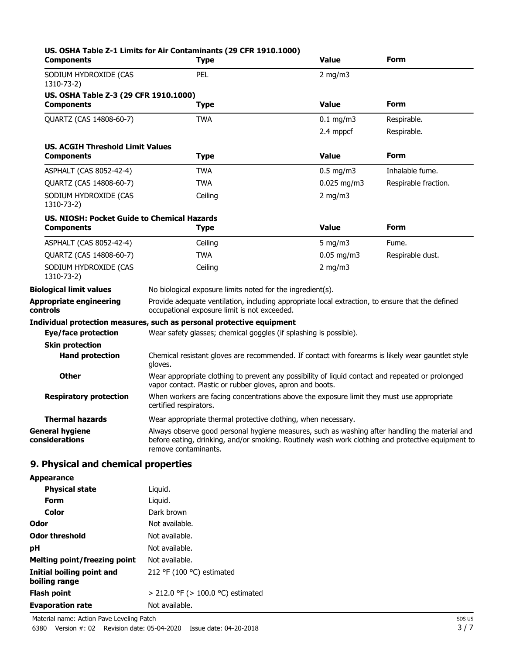| <b>Components</b>                                                       | US. OSHA Table Z-1 Limits for Air Contaminants (29 CFR 1910.1000)<br><b>Type</b>                                                                                                                                            | <b>Value</b>  | Form                 |
|-------------------------------------------------------------------------|-----------------------------------------------------------------------------------------------------------------------------------------------------------------------------------------------------------------------------|---------------|----------------------|
| SODIUM HYDROXIDE (CAS<br>1310-73-2)                                     | PEL                                                                                                                                                                                                                         | $2$ mg/m $3$  |                      |
| US. OSHA Table Z-3 (29 CFR 1910.1000)<br><b>Components</b>              | <b>Type</b>                                                                                                                                                                                                                 | <b>Value</b>  | Form                 |
| QUARTZ (CAS 14808-60-7)                                                 | <b>TWA</b>                                                                                                                                                                                                                  | $0.1$ mg/m3   | Respirable.          |
|                                                                         |                                                                                                                                                                                                                             | 2.4 mppcf     | Respirable.          |
| <b>US. ACGIH Threshold Limit Values</b>                                 |                                                                                                                                                                                                                             |               |                      |
| <b>Components</b>                                                       | <b>Type</b>                                                                                                                                                                                                                 | <b>Value</b>  | Form                 |
| ASPHALT (CAS 8052-42-4)                                                 | TWA                                                                                                                                                                                                                         | $0.5$ mg/m3   | Inhalable fume.      |
| QUARTZ (CAS 14808-60-7)                                                 | TWA                                                                                                                                                                                                                         | $0.025$ mg/m3 | Respirable fraction. |
| SODIUM HYDROXIDE (CAS<br>1310-73-2)                                     | Ceiling                                                                                                                                                                                                                     | $2$ mg/m $3$  |                      |
| <b>US. NIOSH: Pocket Guide to Chemical Hazards</b><br><b>Components</b> | <b>Type</b>                                                                                                                                                                                                                 | <b>Value</b>  | <b>Form</b>          |
| ASPHALT (CAS 8052-42-4)                                                 | Ceiling                                                                                                                                                                                                                     | 5 mg/m $3$    | Fume.                |
| QUARTZ (CAS 14808-60-7)                                                 | <b>TWA</b>                                                                                                                                                                                                                  | $0.05$ mg/m3  | Respirable dust.     |
| SODIUM HYDROXIDE (CAS<br>1310-73-2)                                     | Ceiling                                                                                                                                                                                                                     | $2$ mg/m $3$  |                      |
| <b>Biological limit values</b>                                          | No biological exposure limits noted for the ingredient(s).                                                                                                                                                                  |               |                      |
| <b>Appropriate engineering</b><br>controls                              | Provide adequate ventilation, including appropriate local extraction, to ensure that the defined<br>occupational exposure limit is not exceeded.                                                                            |               |                      |
| Eye/face protection                                                     | Individual protection measures, such as personal protective equipment<br>Wear safety glasses; chemical goggles (if splashing is possible).                                                                                  |               |                      |
| <b>Skin protection</b>                                                  |                                                                                                                                                                                                                             |               |                      |
| <b>Hand protection</b>                                                  | Chemical resistant gloves are recommended. If contact with forearms is likely wear gauntlet style<br>gloves.                                                                                                                |               |                      |
| <b>Other</b>                                                            | Wear appropriate clothing to prevent any possibility of liquid contact and repeated or prolonged<br>vapor contact. Plastic or rubber gloves, apron and boots.                                                               |               |                      |
| <b>Respiratory protection</b>                                           | When workers are facing concentrations above the exposure limit they must use appropriate<br>certified respirators.                                                                                                         |               |                      |
| <b>Thermal hazards</b>                                                  | Wear appropriate thermal protective clothing, when necessary.                                                                                                                                                               |               |                      |
| <b>General hygiene</b><br>considerations                                | Always observe good personal hygiene measures, such as washing after handling the material and<br>before eating, drinking, and/or smoking. Routinely wash work clothing and protective equipment to<br>remove contaminants. |               |                      |
| 9. Physical and chemical properties                                     |                                                                                                                                                                                                                             |               |                      |
| <b>Appearance</b>                                                       |                                                                                                                                                                                                                             |               |                      |

| .                                          |                                   |
|--------------------------------------------|-----------------------------------|
| <b>Physical state</b>                      | Liquid.                           |
| Form                                       | Liguid.                           |
| Color                                      | Dark brown                        |
| Odor                                       | Not available.                    |
| Odor threshold                             | Not available.                    |
| рH                                         | Not available.                    |
| Melting point/freezing point               | Not available.                    |
| Initial boiling point and<br>boiling range | 212 °F (100 °C) estimated         |
| Flash point                                | > 212.0 °F (> 100.0 °C) estimated |
| <b>Evaporation rate</b>                    | Not available.                    |
|                                            |                                   |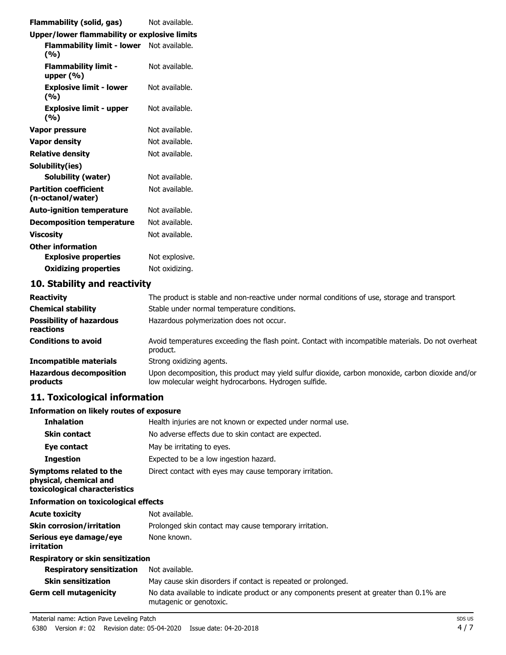| Flammability (solid, gas)                         | Not available. |
|---------------------------------------------------|----------------|
| Upper/lower flammability or explosive limits      |                |
| Flammability limit - lower Not available.<br>(%)  |                |
| <b>Flammability limit -</b><br>upper $(\% )$      | Not available. |
| <b>Explosive limit - lower</b><br>(%)             | Not available. |
| <b>Explosive limit - upper</b><br>(%)             | Not available. |
| Vapor pressure                                    | Not available. |
| <b>Vapor density</b>                              | Not available. |
| <b>Relative density</b>                           | Not available. |
| Solubility(ies)                                   |                |
| <b>Solubility (water)</b>                         | Not available. |
| <b>Partition coefficient</b><br>(n-octanol/water) | Not available. |
| <b>Auto-ignition temperature</b>                  | Not available. |
| <b>Decomposition temperature</b>                  | Not available. |
| <b>Viscosity</b>                                  | Not available. |
| <b>Other information</b>                          |                |
| <b>Explosive properties</b>                       | Not explosive. |
| <b>Oxidizing properties</b>                       | Not oxidizing. |
| 10. Stability and reactivity                      |                |

| <b>Reactivity</b>                            | The product is stable and non-reactive under normal conditions of use, storage and transport.                                                             |  |
|----------------------------------------------|-----------------------------------------------------------------------------------------------------------------------------------------------------------|--|
| <b>Chemical stability</b>                    | Stable under normal temperature conditions.                                                                                                               |  |
| <b>Possibility of hazardous</b><br>reactions | Hazardous polymerization does not occur.                                                                                                                  |  |
| <b>Conditions to avoid</b>                   | Avoid temperatures exceeding the flash point. Contact with incompatible materials. Do not overheat<br>product.                                            |  |
| <b>Incompatible materials</b>                | Strong oxidizing agents.                                                                                                                                  |  |
| <b>Hazardous decomposition</b><br>products   | Upon decomposition, this product may yield sulfur dioxide, carbon monoxide, carbon dioxide and/or<br>low molecular weight hydrocarbons. Hydrogen sulfide. |  |

# **11. Toxicological information**

# **Information on likely routes of exposure**

| <b>Inhalation</b>                                                                  | Health injuries are not known or expected under normal use.                                                         |  |  |
|------------------------------------------------------------------------------------|---------------------------------------------------------------------------------------------------------------------|--|--|
| <b>Skin contact</b>                                                                | No adverse effects due to skin contact are expected.                                                                |  |  |
| Eye contact                                                                        | May be irritating to eyes.                                                                                          |  |  |
| <b>Ingestion</b>                                                                   | Expected to be a low ingestion hazard.                                                                              |  |  |
| Symptoms related to the<br>physical, chemical and<br>toxicological characteristics | Direct contact with eyes may cause temporary irritation.                                                            |  |  |
| <b>Information on toxicological effects</b>                                        |                                                                                                                     |  |  |
| <b>Acute toxicity</b>                                                              | Not available.                                                                                                      |  |  |
| <b>Skin corrosion/irritation</b>                                                   | Prolonged skin contact may cause temporary irritation.                                                              |  |  |
| Serious eye damage/eye<br>irritation                                               | None known.                                                                                                         |  |  |
| Respiratory or skin sensitization                                                  |                                                                                                                     |  |  |
| <b>Respiratory sensitization</b>                                                   | Not available.                                                                                                      |  |  |
| <b>Skin sensitization</b>                                                          | May cause skin disorders if contact is repeated or prolonged.                                                       |  |  |
| <b>Germ cell mutagenicity</b>                                                      | No data available to indicate product or any components present at greater than 0.1% are<br>mutagenic or genotoxic. |  |  |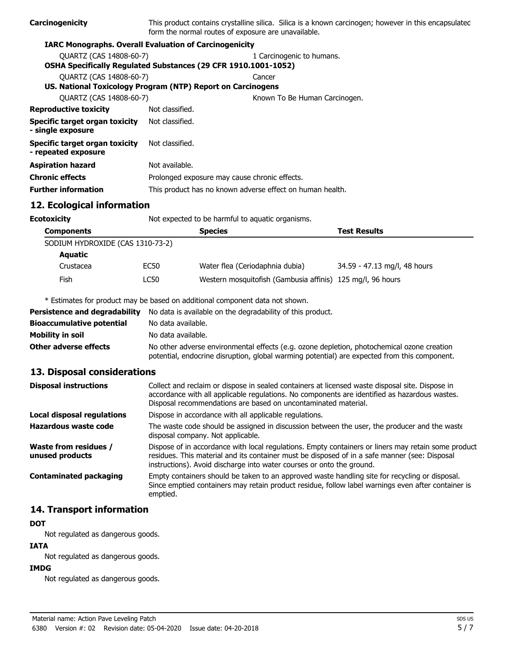| Carcinogenicity                                       | form the normal routes of exposure are unavailable.                   | This product contains crystalline silica. Silica is a known carcinogen; however in this encapsulated |  |
|-------------------------------------------------------|-----------------------------------------------------------------------|------------------------------------------------------------------------------------------------------|--|
|                                                       | <b>IARC Monographs. Overall Evaluation of Carcinogenicity</b>         |                                                                                                      |  |
| <b>OUARTZ (CAS 14808-60-7)</b>                        |                                                                       | 1 Carcinogenic to humans.                                                                            |  |
|                                                       | <b>OSHA Specifically Regulated Substances (29 CFR 1910.1001-1052)</b> |                                                                                                      |  |
| <b>OUARTZ (CAS 14808-60-7)</b>                        |                                                                       | Cancer                                                                                               |  |
|                                                       | US. National Toxicology Program (NTP) Report on Carcinogens           |                                                                                                      |  |
| <b>OUARTZ (CAS 14808-60-7)</b>                        |                                                                       | Known To Be Human Carcinogen.                                                                        |  |
| <b>Reproductive toxicity</b>                          | Not classified.                                                       |                                                                                                      |  |
| Specific target organ toxicity<br>- single exposure   | Not classified.                                                       |                                                                                                      |  |
| Specific target organ toxicity<br>- repeated exposure | Not classified.                                                       |                                                                                                      |  |
| <b>Aspiration hazard</b>                              | Not available.                                                        |                                                                                                      |  |
| <b>Chronic effects</b>                                | Prolonged exposure may cause chronic effects.                         |                                                                                                      |  |
| <b>Further information</b>                            | This product has no known adverse effect on human health.             |                                                                                                      |  |

## **12. Ecological information**

| <b>Ecotoxicity</b>               |                   |      | Not expected to be harmful to aquatic organisms.           |                              |  |
|----------------------------------|-------------------|------|------------------------------------------------------------|------------------------------|--|
|                                  | <b>Components</b> |      | <b>Species</b>                                             | <b>Test Results</b>          |  |
| SODIUM HYDROXIDE (CAS 1310-73-2) |                   |      |                                                            |                              |  |
|                                  | <b>Aquatic</b>    |      |                                                            |                              |  |
|                                  | Crustacea         | EC50 | Water flea (Ceriodaphnia dubia)                            | 34.59 - 47.13 mg/l, 48 hours |  |
|                                  | Fish              | LC50 | Western mosquitofish (Gambusia affinis) 125 mg/l, 96 hours |                              |  |

\* Estimates for product may be based on additional component data not shown.

| <b>Persistence and degradability</b> | No data is available on the degradability of this product.                                                                                                                                 |
|--------------------------------------|--------------------------------------------------------------------------------------------------------------------------------------------------------------------------------------------|
| <b>Bioaccumulative potential</b>     | No data available.                                                                                                                                                                         |
| Mobility in soil                     | No data available.                                                                                                                                                                         |
| <b>Other adverse effects</b>         | No other adverse environmental effects (e.g. ozone depletion, photochemical ozone creation<br>potential, endocrine disruption, global warming potential) are expected from this component. |

#### **13. Disposal considerations**

| <b>Disposal instructions</b>                    | Collect and reclaim or dispose in sealed containers at licensed waste disposal site. Dispose in<br>accordance with all applicable regulations. No components are identified as hazardous wastes.<br>Disposal recommendations are based on uncontaminated material.            |
|-------------------------------------------------|-------------------------------------------------------------------------------------------------------------------------------------------------------------------------------------------------------------------------------------------------------------------------------|
| <b>Local disposal regulations</b>               | Dispose in accordance with all applicable regulations.                                                                                                                                                                                                                        |
| Hazardous waste code                            | The waste code should be assigned in discussion between the user, the producer and the waste<br>disposal company. Not applicable.                                                                                                                                             |
| <b>Waste from residues /</b><br>unused products | Dispose of in accordance with local regulations. Empty containers or liners may retain some product<br>residues. This material and its container must be disposed of in a safe manner (see: Disposal<br>instructions). Avoid discharge into water courses or onto the ground. |
| Contaminated packaging                          | Empty containers should be taken to an approved waste handling site for recycling or disposal.<br>Since emptied containers may retain product residue, follow label warnings even after container is<br>emptied.                                                              |

#### **14. Transport information**

#### **DOT**

Not regulated as dangerous goods.

# **IATA**

Not regulated as dangerous goods.

#### **IMDG**

Not regulated as dangerous goods.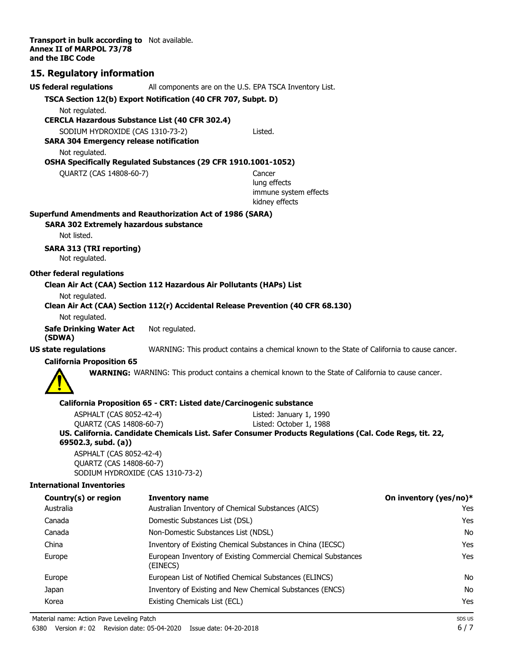**Transport in bulk according to** Not available. **Annex II of MARPOL 73/78 and the IBC Code**

#### **15. Regulatory information**

| US federal regulations                                                             |                                     | All components are on the U.S. EPA TSCA Inventory List.                                                     |                        |
|------------------------------------------------------------------------------------|-------------------------------------|-------------------------------------------------------------------------------------------------------------|------------------------|
| TSCA Section 12(b) Export Notification (40 CFR 707, Subpt. D)                      |                                     |                                                                                                             |                        |
| Not regulated.                                                                     |                                     |                                                                                                             |                        |
| <b>CERCLA Hazardous Substance List (40 CFR 302.4)</b>                              |                                     |                                                                                                             |                        |
| SODIUM HYDROXIDE (CAS 1310-73-2)<br><b>SARA 304 Emergency release notification</b> |                                     | Listed.                                                                                                     |                        |
| Not regulated.                                                                     |                                     |                                                                                                             |                        |
| OSHA Specifically Regulated Substances (29 CFR 1910.1001-1052)                     |                                     |                                                                                                             |                        |
| QUARTZ (CAS 14808-60-7)                                                            |                                     | Cancer                                                                                                      |                        |
|                                                                                    |                                     | lung effects                                                                                                |                        |
|                                                                                    |                                     | immune system effects                                                                                       |                        |
|                                                                                    |                                     | kidney effects                                                                                              |                        |
| Superfund Amendments and Reauthorization Act of 1986 (SARA)                        |                                     |                                                                                                             |                        |
| <b>SARA 302 Extremely hazardous substance</b><br>Not listed.                       |                                     |                                                                                                             |                        |
|                                                                                    |                                     |                                                                                                             |                        |
| <b>SARA 313 (TRI reporting)</b><br>Not regulated.                                  |                                     |                                                                                                             |                        |
| Other federal regulations                                                          |                                     |                                                                                                             |                        |
| Clean Air Act (CAA) Section 112 Hazardous Air Pollutants (HAPs) List               |                                     |                                                                                                             |                        |
| Not regulated.                                                                     |                                     |                                                                                                             |                        |
|                                                                                    |                                     | Clean Air Act (CAA) Section 112(r) Accidental Release Prevention (40 CFR 68.130)                            |                        |
| Not regulated.                                                                     |                                     |                                                                                                             |                        |
| <b>Safe Drinking Water Act</b><br>(SDWA)                                           | Not regulated.                      |                                                                                                             |                        |
| <b>US state regulations</b>                                                        |                                     | WARNING: This product contains a chemical known to the State of California to cause cancer.                 |                        |
| <b>California Proposition 65</b>                                                   |                                     |                                                                                                             |                        |
|                                                                                    |                                     | <b>WARNING:</b> WARNING: This product contains a chemical known to the State of California to cause cancer. |                        |
|                                                                                    |                                     | California Proposition 65 - CRT: Listed date/Carcinogenic substance                                         |                        |
| ASPHALT (CAS 8052-42-4)                                                            |                                     | Listed: January 1, 1990                                                                                     |                        |
| QUARTZ (CAS 14808-60-7)                                                            |                                     | Listed: October 1, 1988                                                                                     |                        |
| 69502.3, subd. (a))                                                                |                                     | US. California. Candidate Chemicals List. Safer Consumer Products Regulations (Cal. Code Regs, tit. 22,     |                        |
| ASPHALT (CAS 8052-42-4)                                                            |                                     |                                                                                                             |                        |
| QUARTZ (CAS 14808-60-7)                                                            | SODIUM HYDROXIDE (CAS 1310-73-2)    |                                                                                                             |                        |
| <b>International Inventories</b>                                                   |                                     |                                                                                                             |                        |
|                                                                                    |                                     |                                                                                                             |                        |
| Country(s) or region<br>Australia                                                  | <b>Inventory name</b>               | Australian Inventory of Chemical Substances (AICS)                                                          | On inventory (yes/no)* |
| Canada                                                                             | Domestic Substances List (DSL)      |                                                                                                             | Yes                    |
| Canada                                                                             |                                     |                                                                                                             | Yes                    |
|                                                                                    | Non-Domestic Substances List (NDSL) |                                                                                                             | No                     |
| China                                                                              |                                     | Inventory of Existing Chemical Substances in China (IECSC)                                                  | Yes                    |
| Europe                                                                             | (FINECS)                            | European Inventory of Existing Commercial Chemical Substances                                               | Yes                    |